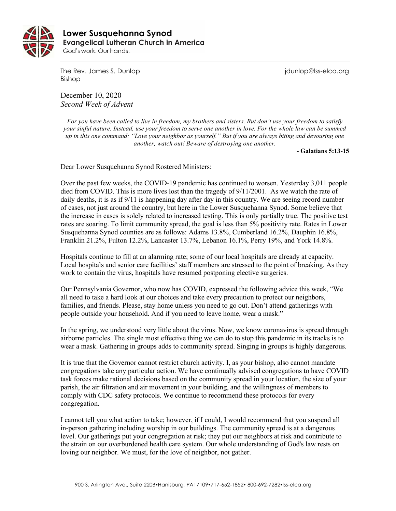

 **Lower Susquehanna SynodEvangelical Lutheran Church in America** God's work. Our hands.

The Rev. James S. Dunlop journalism is a series of the Rev. James S. Dunlop is a series of the Rev. James S. Dunlop Bishop

December 10, 2020 *Second Week of Advent*

*For you have been called to live in freedom, my brothers and sisters. But don't use your freedom to satisfy your sinful nature. Instead, use your freedom to serve one another in love. For the whole law can be summed up in this one command: "Love your neighbor as yourself." But if you are always biting and devouring one another, watch out! Beware of destroying one another.*

**- Galatians 5:13-15**

Dear Lower Susquehanna Synod Rostered Ministers:

Over the past few weeks, the COVID-19 pandemic has continued to worsen. Yesterday 3,011 people died from COVID. This is more lives lost than the tragedy of 9/11/2001. As we watch the rate of daily deaths, it is as if 9/11 is happening day after day in this country. We are seeing record number of cases, not just around the country, but here in the Lower Susquehanna Synod. Some believe that the increase in cases is solely related to increased testing. This is only partially true. The positive test rates are soaring. To limit community spread, the goal is less than 5% positivity rate. Rates in Lower Susquehanna Synod counties are as follows: Adams 13.8%, Cumberland 16.2%, Dauphin 16.8%, Franklin 21.2%, Fulton 12.2%, Lancaster 13.7%, Lebanon 16.1%, Perry 19%, and York 14.8%.

Hospitals continue to fill at an alarming rate; some of our local hospitals are already at capacity. Local hospitals and senior care facilities' staff members are stressed to the point of breaking. As they work to contain the virus, hospitals have resumed postponing elective surgeries.

Our Pennsylvania Governor, who now has COVID, expressed the following advice this week, "We all need to take a hard look at our choices and take every precaution to protect our neighbors, families, and friends. Please, stay home unless you need to go out. Don't attend gatherings with people outside your household. And if you need to leave home, wear a mask."

In the spring, we understood very little about the virus. Now, we know coronavirus is spread through airborne particles. The single most effective thing we can do to stop this pandemic in its tracks is to wear a mask. Gathering in groups adds to community spread. Singing in groups is highly dangerous.

It is true that the Governor cannot restrict church activity. I, as your bishop, also cannot mandate congregations take any particular action. We have continually advised congregations to have COVID task forces make rational decisions based on the community spread in your location, the size of your parish, the air filtration and air movement in your building, and the willingness of members to comply with CDC safety protocols. We continue to recommend these protocols for every congregation.

I cannot tell you what action to take; however, if I could, I would recommend that you suspend all in-person gathering including worship in our buildings. The community spread is at a dangerous level. Our gatherings put your congregation at risk; they put our neighbors at risk and contribute to the strain on our overburdened health care system. Our whole understanding of God's law rests on loving our neighbor. We must, for the love of neighbor, not gather.